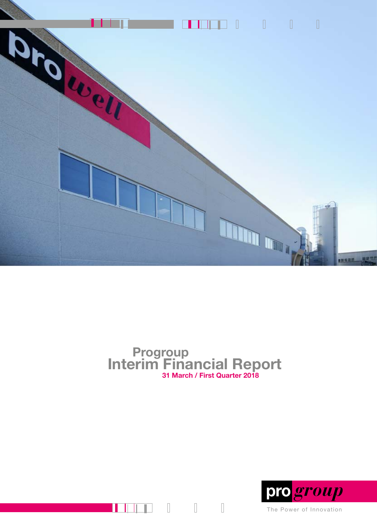

## **Progroup 31 March / First Quarter 2018 Interim Financial Report**

 $\overline{\phantom{a}}$ 

T.

П

 $\overline{\mathbb{I}}$ 

 $\overline{\mathbb{I}}$ 



The Power of Innovation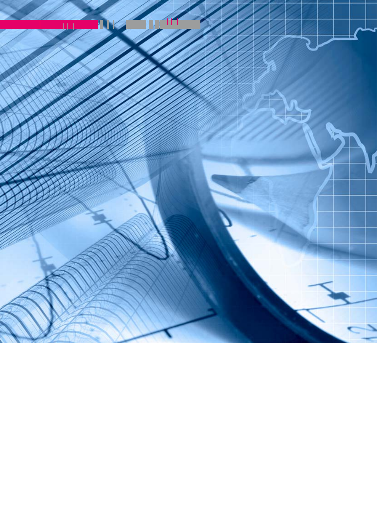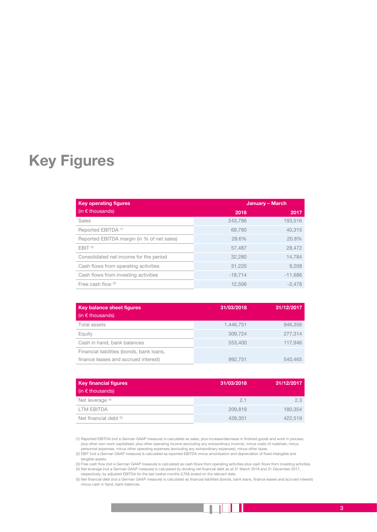# **Key Figures**

| <b>Key operating figures</b>               | January - March |           |
|--------------------------------------------|-----------------|-----------|
| (in $\epsilon$ thousands)                  | 2018            | 2017      |
| Sales                                      | 243.786         | 193,516   |
| Reported EBITDA <sup>(1)</sup>             | 69,780          | 40,315    |
| Reported EBITDA margin (in % of net sales) | 28.6%           | 20.8%     |
| FBIT <sup>(2)</sup>                        | 57,487          | 28,472    |
| Consolidated net income for the period     | 32,280          | 14.784    |
| Cash flows from operating activities       | 31.220          | 9,208     |
| Cash flows from investing activities       | $-18.714$       | $-11,686$ |
| Free cash flow $(3)$                       | 12.506          | $-2.478$  |

| Key balance sheet figures<br>(in $\epsilon$ thousands) | 31/03/2018 | 31/12/2017 |
|--------------------------------------------------------|------------|------------|
| Total assets                                           | 1,446,751  | 946,356    |
| Equity                                                 | 309.724    | 277,314    |
| Cash in hand, bank balances                            | 553,400    | 117,946    |
| Financial liabilities (bonds, bank loans,              |            |            |
| finance leases and accrued interest)                   | 992.751    | 540.465    |

| <b>Key financial figures</b><br>$($ in $\epsilon$ thousands) | 31/03/2018 | 31/12/2017 |
|--------------------------------------------------------------|------------|------------|
| Net leverage <sup>(4)</sup>                                  | 2.1        | 2.3        |
| LTM EBITDA                                                   | 209,819    | 180.354    |
| Net financial debt (5)                                       | 439.351    | 422.519    |

(1) Reported EBITDA (not a German GAAP measure) is calculated as sales, plus increase/decrease in finished goods and work in process, plus other own work capitalised, plus other operating income (excluding any extraordinary income), minus costs of materials, minus<br>personnel expenses, minus other operating expenses (excluding any extraordinary expenses),

(2) EBIT (not a German GAAP measure) is calculated as reported EBITDA minus amortisation and depreciation of fixed intangible and tangible assets.

(3) Free cash flow (not a German GAAP measure) is calculated as cash flows from operating activities plus cash flows from investing activities.<br>(4) Net leverage (not a German GAAP measure) is calculated by dividing net fin

(5) Net financial debt (not a German GAAP measure) is calculated as financial liabilities (bonds, bank loans, finance leases and accrued interest) minus cash in hand, bank balances.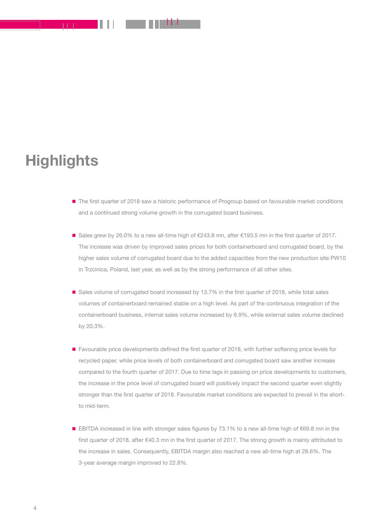# **Highlights**

- The first quarter of 2018 saw a historic performance of Progroup based on favourable market conditions and a continued strong volume growth in the corrugated board business.
- Sales grew by 26.0% to a new all-time high of €243.8 mn, after €193.5 mn in the first quarter of 2017. The increase was driven by improved sales prices for both containerboard and corrugated board, by the higher sales volume of corrugated board due to the added capacities from the new production site PW10 in Trzcinica, Poland, last year, as well as by the strong performance of all other sites.
- Sales volume of corrugated board increased by 13.7% in the first quarter of 2018, while total sales volumes of containerboard remained stable on a high level. As part of the continuous integration of the containerboard business, internal sales volume increased by 6.9%, while external sales volume declined by 20.3%.
- Favourable price developments defined the first quarter of 2018, with further softening price levels for recycled paper, while price levels of both containerboard and corrugated board saw another increase compared to the fourth quarter of 2017. Due to time lags in passing on price developments to customers, the increase in the price level of corrugated board will positively impact the second quarter even slightly stronger than the first quarter of 2018. Favourable market conditions are expected to prevail in the shortto mid-term.
- EBITDA increased in line with stronger sales figures by 73.1% to a new all-time high of €69.8 mn in the first quarter of 2018, after €40.3 mn in the first quarter of 2017. The strong growth is mainly attributed to the increase in sales. Consequently, EBITDA margin also reached a new all-time high at 28.6%. The 3-year average margin improved to 22.8%.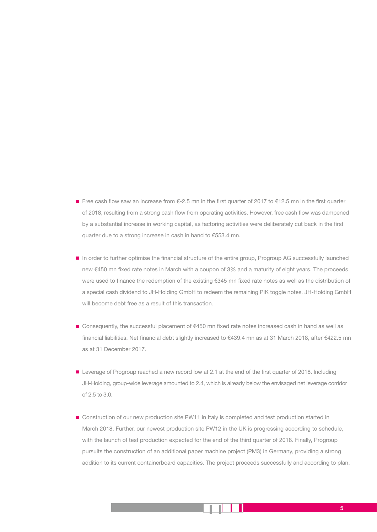- **■** Free cash flow saw an increase from €-2.5 mn in the first quarter of 2017 to €12.5 mn in the first quarter of 2018, resulting from a strong cash flow from operating activities. However, free cash flow was dampened by a substantial increase in working capital, as factoring activities were deliberately cut back in the first quarter due to a strong increase in cash in hand to €553.4 mn.
- n In order to further optimise the financial structure of the entire group, Progroup AG successfully launched new €450 mn fixed rate notes in March with a coupon of 3% and a maturity of eight years. The proceeds were used to finance the redemption of the existing €345 mn fixed rate notes as well as the distribution of a special cash dividend to JH-Holding GmbH to redeem the remaining PIK toggle notes. JH-Holding GmbH will become debt free as a result of this transaction.
- Consequently, the successful placement of €450 mn fixed rate notes increased cash in hand as well as financial liabilities. Net financial debt slightly increased to €439.4 mn as at 31 March 2018, after €422.5 mn as at 31 December 2017.
- **n** Leverage of Progroup reached a new record low at 2.1 at the end of the first quarter of 2018. Including JH-Holding, group-wide leverage amounted to 2.4, which is already below the envisaged net leverage corridor of 2.5 to 3.0.
- Construction of our new production site PW11 in Italy is completed and test production started in March 2018. Further, our newest production site PW12 in the UK is progressing according to schedule, with the launch of test production expected for the end of the third quarter of 2018. Finally, Progroup pursuits the construction of an additional paper machine project (PM3) in Germany, providing a strong addition to its current containerboard capacities. The project proceeds successfully and according to plan.

П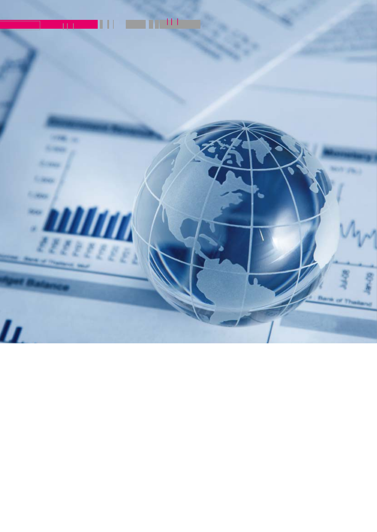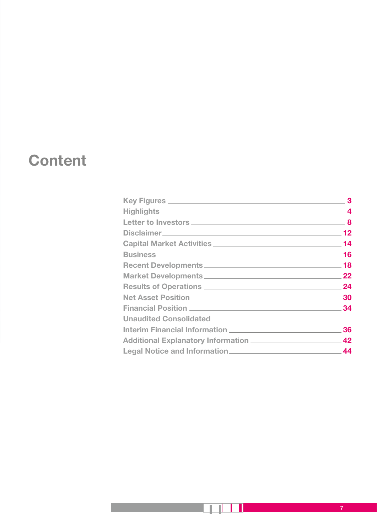# **Content**

| Key Figures _________________________________                                | 3  |
|------------------------------------------------------------------------------|----|
|                                                                              | 4  |
|                                                                              | 8  |
|                                                                              | 12 |
|                                                                              | 14 |
|                                                                              | 16 |
|                                                                              | 18 |
|                                                                              | 22 |
|                                                                              | 24 |
|                                                                              | 30 |
|                                                                              | 34 |
| <b>Unaudited Consolidated</b>                                                |    |
|                                                                              | 36 |
|                                                                              | 42 |
| Legal Notice and Information. <b>Construct the Second Property Construct</b> | 44 |

<u> Till I se se se s</u>

the control of the control of the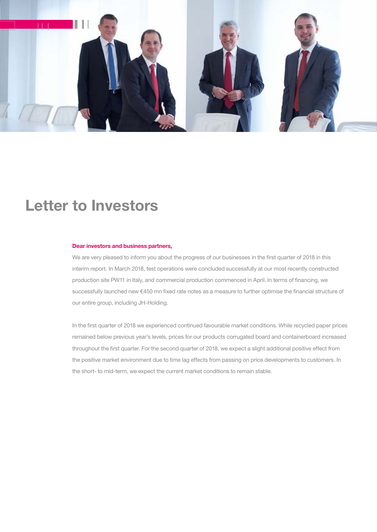

## **Letter to Investors**

### **Dear investors and business partners,**

We are very pleased to inform you about the progress of our businesses in the first quarter of 2018 in this interim report. In March 2018, test operations were concluded successfully at our most recently constructed production site PW11 in Italy, and commercial production commenced in April. In terms of financing, we successfully launched new €450 mn fixed rate notes as a measure to further optimise the financial structure of our entire group, including JH-Holding.

In the first quarter of 2018 we experienced continued favourable market conditions. While recycled paper prices remained below previous year's levels, prices for our products corrugated board and containerboard increased throughout the first quarter. For the second quarter of 2018, we expect a slight additional positive effect from the positive market environment due to time lag effects from passing on price developments to customers. In the short- to mid-term, we expect the current market conditions to remain stable.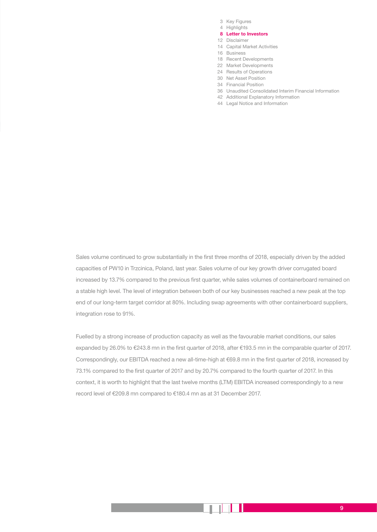3 Key Figures

#### 4 Highlights **8 Letter to Investors**

- 12 Disclaimer 14 Capital Market Activities
- 16 Business
- 
- 18 Recent Developments
- 22 Market Developments
- 24 Results of Operations 30 Net Asset Position
- 34 Financial Position
- 36 Unaudited Consolidated Interim Financial Information
- 42 Additional Explanatory Information
- 44 Legal Notice and Information

Sales volume continued to grow substantially in the first three months of 2018, especially driven by the added capacities of PW10 in Trzcinica, Poland, last year. Sales volume of our key growth driver corrugated board increased by 13.7% compared to the previous first quarter, while sales volumes of containerboard remained on a stable high level. The level of integration between both of our key businesses reached a new peak at the top end of our long-term target corridor at 80%. Including swap agreements with other containerboard suppliers, integration rose to 91%.

Fuelled by a strong increase of production capacity as well as the favourable market conditions, our sales expanded by 26.0% to €243.8 mn in the first quarter of 2018, after €193.5 mn in the comparable quarter of 2017. Correspondingly, our EBITDA reached a new all-time-high at €69.8 mn in the first quarter of 2018, increased by 73.1% compared to the first quarter of 2017 and by 20.7% compared to the fourth quarter of 2017. In this context, it is worth to highlight that the last twelve months (LTM) EBITDA increased correspondingly to a new record level of €209.8 mn compared to €180.4 mn as at 31 December 2017.

I.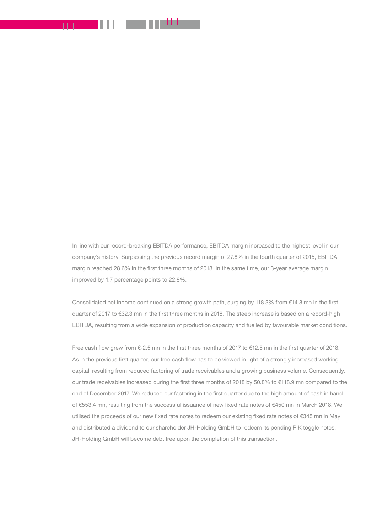In line with our record-breaking EBITDA performance, EBITDA margin increased to the highest level in our company's history. Surpassing the previous record margin of 27.8% in the fourth quarter of 2015, EBITDA margin reached 28.6% in the first three months of 2018. In the same time, our 3-year average margin improved by 1.7 percentage points to 22.8%.

Consolidated net income continued on a strong growth path, surging by 118.3% from €14.8 mn in the first quarter of 2017 to €32.3 mn in the first three months in 2018. The steep increase is based on a record-high EBITDA, resulting from a wide expansion of production capacity and fuelled by favourable market conditions.

Free cash flow grew from €-2.5 mn in the first three months of 2017 to €12.5 mn in the first quarter of 2018. As in the previous first quarter, our free cash flow has to be viewed in light of a strongly increased working capital, resulting from reduced factoring of trade receivables and a growing business volume. Consequently, our trade receivables increased during the first three months of 2018 by 50.8% to €118.9 mn compared to the end of December 2017. We reduced our factoring in the first quarter due to the high amount of cash in hand of €553.4 mn, resulting from the successful issuance of new fixed rate notes of €450 mn in March 2018. We utilised the proceeds of our new fixed rate notes to redeem our existing fixed rate notes of €345 mn in May and distributed a dividend to our shareholder JH-Holding GmbH to redeem its pending PIK toggle notes. JH-Holding GmbH will become debt free upon the completion of this transaction.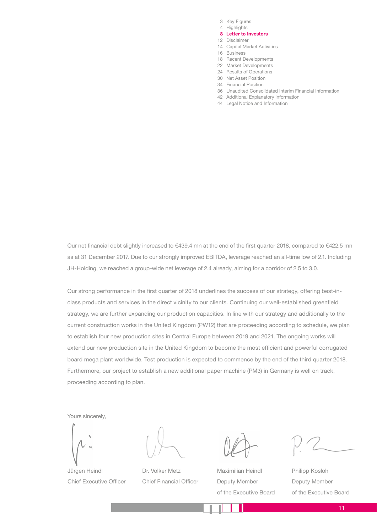3 Key Figures

#### 4 Highlights **8 Letter to Investors**

- 
- 12 Disclaimer 14 Capital Market Activities
- 16 Business
	-
- 18 Recent Developments 22 Market Developments
- 24 Results of Operations
- 30 Net Asset Position
- 34 Financial Position
- 36 Unaudited Consolidated Interim Financial Information
- 42 Additional Explanatory Information
- 44 Legal Notice and Information

Our net financial debt slightly increased to €439.4 mn at the end of the first quarter 2018, compared to €422.5 mn as at 31 December 2017. Due to our strongly improved EBITDA, leverage reached an all-time low of 2.1. Including JH-Holding, we reached a group-wide net leverage of 2.4 already, aiming for a corridor of 2.5 to 3.0.

Our strong performance in the first quarter of 2018 underlines the success of our strategy, offering best-inclass products and services in the direct vicinity to our clients. Continuing our well-established greenfield strategy, we are further expanding our production capacities. In line with our strategy and additionally to the current construction works in the United Kingdom (PW12) that are proceeding according to schedule, we plan to establish four new production sites in Central Europe between 2019 and 2021. The ongoing works will extend our new production site in the United Kingdom to become the most efficient and powerful corrugated board mega plant worldwide. Test production is expected to commence by the end of the third quarter 2018. Furthermore, our project to establish a new additional paper machine (PM3) in Germany is well on track, proceeding according to plan.

Yours sincerely,

Jürgen Heindl Chief Executive Officer

Dr. Volker Metz Chief Financial Officer

Maximilian Heindl Deputy Member of the Executive Board

Philipp Kosloh Deputy Member of the Executive Board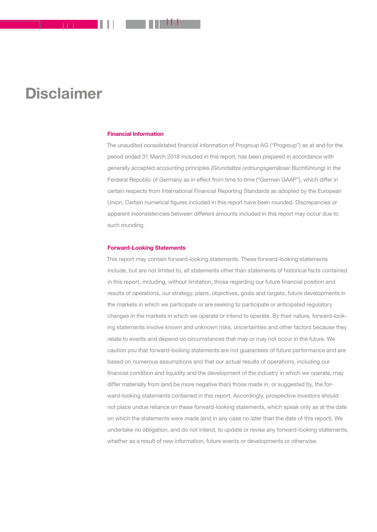## **Disclaimer**

### **Financial Information**

a a shekara

ш

The unaudited consolidated financial information of Progroup AG ("Progroup") as at and for the period ended 31 March 2018 included in this report, has been prepared in accordance with generally accepted accounting principles *(Grundsätze ordnungsgemässer Buchführung)* in the Ferderal Republic of Germany as in effect from time to time ("German GAAP"), which differ in certain respects from International Financial Reporting Standards as adopted by the European Union. Certain numerical figures included in this report have been rounded. Discrepancies or apparent inconsistencies between different amounts included in this report may occur due to such rounding.

### **Forward-Looking Statements**

This report may contain forward-looking statements. These forward-looking statements include, but are not limited to, all statements other than statements of historical facts contained in this report, including, without limitation, those regarding our future financial position and results of operations, our strategy, plans, objectives, goals and targets, future developments in the markets in which we participate or are seeking to participate or anticipated regulatory changes in the markets in which we operate or intend to operate. By their nature, forward-looking statements involve known and unknown risks, uncertainties and other factors because they relate to events and depend on circumstances that may or may not occur in the future. We caution you that forward-looking statements are not guarantees of future performance and are based on numerous assumptions and that our actual results of operations, including our financial condition and liquidity and the development of the industry in which we operate, may differ materially from (and be more negative than) those made in, or suggested by, the forward-looking statements contained in this report. Accordingly, prospective investors should not place undue reliance on these forward-looking statements, which speak only as at the date on which the statements were made (and in any case no later than the date of this report). We undertake no obligation, and do not intend, to update or revise any forward-looking statements, whether as a result of new information, future events or developments or otherwise.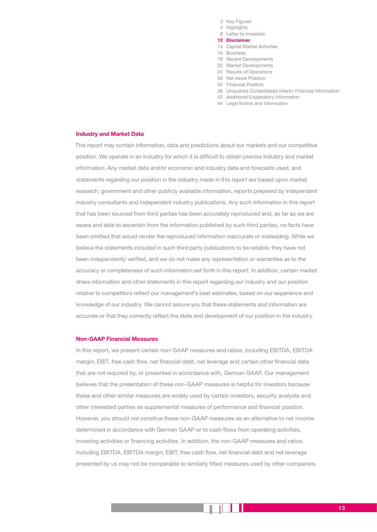- 3 Key Figures
- 4 Highlights
- 8 Letter to Investors
- **12 Disclaimer**
- 14 Capital Market Activities
- 16 Business
- 18 Recent Developments
- 22 Market Developments
- 24 Results of Operations
- 30 Net Asset Position
- 34 Financial Position
- 36 Unaudited Consolidated Interim Financial Information
- 42 Additional Explanatory Information
- 44 Legal Notice and Information

### **Industry and Market Data**

This report may contain information, data and predictions about our markets and our competitive position. We operate in an industry for which it is difficult to obtain precise industry and market information. Any market data and/or economic and industry data and forecasts used, and statements regarding our position in the industry made in this report are based upon market research, government and other publicly available information, reports prepared by independent industry consultants and independent industry publications. Any such information in this report that has been sourced from third parties has been accurately reproduced and, as far as we are aware and able to ascertain from the information published by such third parties, no facts have been omitted that would render the reproduced information inaccurate or misleading. While we believe the statements included in such third party publications to be reliable, they have not been independently verified, and we do not make any representation or warranties as to the accuracy or completeness of such information set forth in this report. In addition, certain market share information and other statements in this report regarding our industry and our position relative to competitors reflect our management's best estimates, based on our experience and knowledge of our industry. We cannot assure you that these statements and information are accurate or that they correctly reflect the state and development of our position in the industry.

### **Non-GAAP Financial Measures**

In this report, we present certain non-GAAP measures and ratios, including EBITDA, EBITDA margin, EBIT, free cash flow, net financial debt, net leverage and certain other financial data that are not required by, or presented in accordance with, German GAAP. Our management believes that the presentation of these non-GAAP measures is helpful for investors because these and other similar measures are widely used by certain investors, security analysts and other interested parties as supplemental measures of performance and financial position. However, you should not construe these non-GAAP measures as an alternative to net income determined in accordance with German GAAP or to cash flows from operating activities, investing activities or financing activities. In addition, the non-GAAP measures and ratios, including EBITDA, EBITDA margin, EBIT, free cash flow, net financial debt and net leverage presented by us may not be comparable to similarly titled measures used by other companies.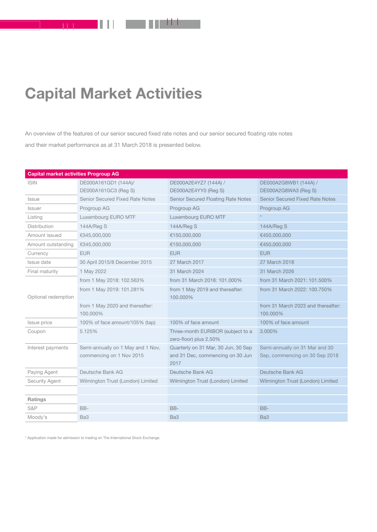# **Capital Market Activities**

An overview of the features of our senior secured fixed rate notes and our senior secured floating rate notes and their market performance as at 31 March 2018 is presented below.

| <b>Capital market activities Progroup AG</b> |                                        |                                           |                                    |
|----------------------------------------------|----------------------------------------|-------------------------------------------|------------------------------------|
| <b>ISIN</b>                                  | DE000A161GD1 (144A)/                   | DE000A2E4YZ7 (144A) /                     | DE000A2G8WB1 (144A) /              |
|                                              | DE000A161GC3 (Reg S)                   | DE000A2E4YY0 (Reg S)                      | DE000A2G8WA3 (Reg S)               |
| <b>Issue</b>                                 | <b>Senior Secured Fixed Rate Notes</b> | <b>Senior Secured Floating Rate Notes</b> | Senior Secured Fixed Rate Notes    |
| Issuer                                       | Progroup AG                            | Progroup AG                               | Progroup AG                        |
| Listing                                      | Luxembourg EURO MTF                    | Luxembourg EURO MTF                       |                                    |
| <b>Distribution</b>                          | 144A/Reg S                             | 144A/Reg S                                | 144A/Reg S                         |
| Amount issued                                | €345,000,000                           | €150,000,000                              | €450,000,000                       |
| Amount outstanding                           | €345,000,000                           | €150,000,000                              | €450,000,000                       |
| Currency                                     | <b>EUR</b>                             | <b>EUR</b>                                | <b>EUR</b>                         |
| Issue date                                   | 30 April 2015/8 December 2015          | 27 March 2017                             | 27 March 2018                      |
| Final maturity                               | 1 May 2022                             | 31 March 2024                             | 31 March 2026                      |
|                                              | from 1 May 2018: 102.563%              | from 31 March 2018: 101.000%              | from 31 March 2021: 101.500%       |
|                                              | from 1 May 2019: 101.281%              | from 1 May 2019 and thereafter:           | from 31 March 2022: 100.750%       |
| Optional redemption                          |                                        | 100.000%                                  |                                    |
|                                              | from 1 May 2020 and thereafter:        |                                           | from 31 March 2023 and thereafter: |
|                                              | 100.000%                               |                                           | 100.000%                           |
| Issue price                                  | 100% of face amount/105% (tap)         | 100% of face amount                       | 100% of face amount                |
| Coupon                                       | 5.125%                                 | Three-month EURIBOR (subject to a         | 3.000%                             |
|                                              |                                        | zero-floor) plus 2.50%                    |                                    |
| Interest payments                            | Semi-annually on 1 May and 1 Nov,      | Quarterly on 31 Mar, 30 Jun, 30 Sep       | Semi-annually on 31 Mar and 30     |
|                                              | commencing on 1 Nov 2015               | and 31 Dec, commencing on 30 Jun<br>2017  | Sep, commencing on 30 Sep 2018     |
| Paying Agent                                 | Deutsche Bank AG                       | Deutsche Bank AG                          | Deutsche Bank AG                   |
| <b>Security Agent</b>                        | Wilmington Trust (London) Limited      | Wilmington Trust (London) Limited         | Wilmington Trust (London) Limited  |
|                                              |                                        |                                           |                                    |
| Ratings                                      |                                        |                                           |                                    |
| S&P                                          | BB-                                    | BB-                                       | BB-                                |
| Moody's                                      | Ba <sub>3</sub>                        | Ba <sub>3</sub>                           | Ba <sub>3</sub>                    |

\* Application made for admission to trading on The International Stock Exchange.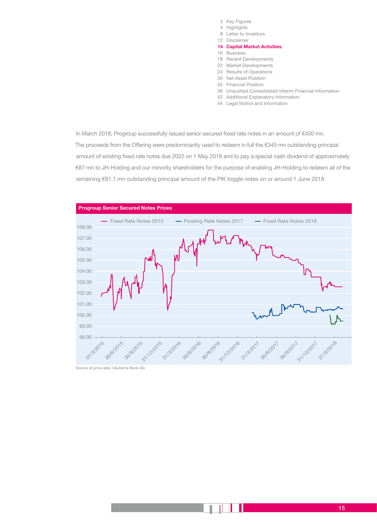- 3 Key Figures
- 4 Highlights
- 8 Letter to Investors

#### 12 Disclaimer **14 Capital Market Activities**

- 16 Business
- 18 Recent Developments
- 22 Market Developments
- 24 Results of Operations
- 30 Net Asset Position
- 34 Financial Position
- 36 Unaudited Consolidated Interim Financial Information
- 42 Additional Explanatory Information
- 44 Legal Notice and Information

In March 2018, Progroup successfully issued senior secured fixed rate notes in an amount of €450 mn. The proceeds from the Offering were predominantly used to redeem in full the €345 mn outstanding principal amount of existing fixed rate notes due 2022 on 1 May 2018 and to pay a special cash dividend of approximately €87 mn to JH-Holding and our minority shareholders for the purpose of enabling JH-Holding to redeem all of the remaining €81.1 mn outstanding principal amount of the PIK toggle notes on or around 1 June 2018.



 $\frac{1}{\sqrt{2}}$ 

 $\overline{a}$ 

Source of price data: Deutsche Bank AG

 $\overline{a}$ 

 $\frac{4}{\pi}$ 

 $\frac{1}{\sqrt{2}}$ 

 $\overline{\phantom{a}}$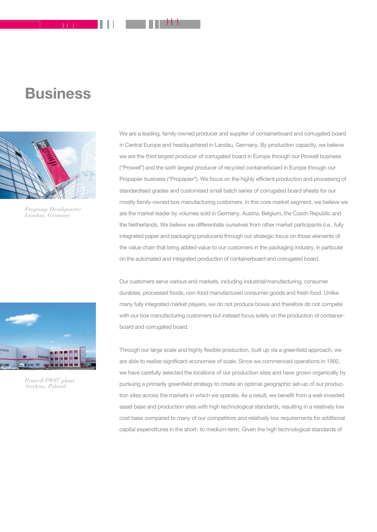## **Business**



*Progroup Headquarter Landau, Germany*



*Prowell PW07 plant Stryków, Poland*

We are a leading, family-owned producer and supplier of containerboard and corrugated board in Central Europe and headquartered in Landau, Germany. By production capacity, we believe we are the third largest producer of corrugated board in Europe through our Prowell business ("Prowell") and the sixth largest producer of recycled containerboard in Europe through our Propapier business ("Propapier"). We focus on the highly efficient production and processing of standardised grades and customised small batch series of corrugated board sheets for our mostly family-owned box manufacturing customers. In this core market segment, we believe we are the market leader by volumes sold in Germany, Austria, Belgium, the Czech Republic and the Netherlands. We believe we differentiate ourselves from other market participants (i.e., fully integrated paper and packaging producers) through our strategic focus on those elements of the value chain that bring added-value to our customers in the packaging industry, in particular on the automated and integrated production of containerboard and corrugated board.

Our customers serve various end markets, including industrial/manufacturing, consumer durables, processed foods, non-food manufactured consumer goods and fresh food. Unlike many fully integrated market players, we do not produce boxes and therefore do not compete with our box manufacturing customers but instead focus solely on the production of containerboard and corrugated board.

Through our large scale and highly flexible production, built up via a greenfield approach, we are able to realise significant economies of scale. Since we commenced operations in 1992, we have carefully selected the locations of our production sites and have grown organically by pursuing a primarily greenfield strategy to create an optimal geographic set-up of our production sites across the markets in which we operate. As a result, we benefit from a well-invested asset base and production sites with high technological standards, resulting in a relatively low cost base compared to many of our competitors and relatively low requirements for additional capital expenditures in the short- to medium-term. Given the high technological standards of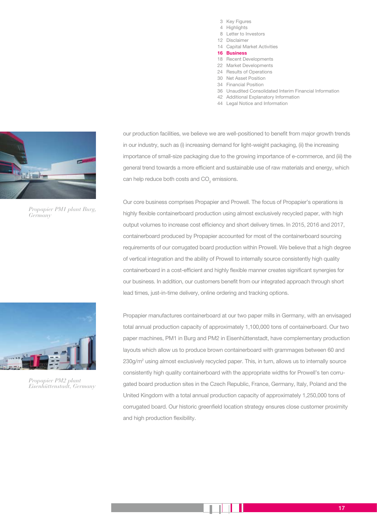

- 4 Highlights
- 8 Letter to Investors
- 12 Disclaimer
- 14 Capital Market Activities
- **16 Business**
- 18 Recent Developments
- 22 Market Developments
- 24 Results of Operations
- 30 Net Asset Position
- 34 Financial Position
- 36 Unaudited Consolidated Interim Financial Information
- 42 Additional Explanatory Information
- 44 Legal Notice and Information



*Propapier PM1 plant Burg, Germany*



*Propapier PM2 plant Eisenhüttenstadt, Germany*

our production facilities, we believe we are well-positioned to benefit from major growth trends in our industry, such as (i) increasing demand for light-weight packaging, (ii) the increasing importance of small-size packaging due to the growing importance of e-commerce, and (iii) the general trend towards a more efficient and sustainable use of raw materials and energy, which can help reduce both costs and  $\mathrm{CO}_2^{}$  emissions.

Our core business comprises Propapier and Prowell. The focus of Propapier's operations is highly flexible containerboard production using almost exclusively recycled paper, with high output volumes to increase cost efficiency and short delivery times. In 2015, 2016 and 2017, containerboard produced by Propapier accounted for most of the containerboard sourcing requirements of our corrugated board production within Prowell. We believe that a high degree of vertical integration and the ability of Prowell to internally source consistently high quality containerboard in a cost-efficient and highly flexible manner creates significant synergies for our business. In addition, our customers benefit from our integrated approach through short lead times, just-in-time delivery, online ordering and tracking options.

Propapier manufactures containerboard at our two paper mills in Germany, with an envisaged total annual production capacity of approximately 1,100,000 tons of containerboard. Our two paper machines, PM1 in Burg and PM2 in Eisenhüttenstadt, have complementary production layouts which allow us to produce brown containerboard with grammages between 60 and 230g/m<sup>2</sup> using almost exclusively recycled paper. This, in turn, allows us to internally source consistently high quality containerboard with the appropriate widths for Prowell's ten corrugated board production sites in the Czech Republic, France, Germany, Italy, Poland and the United Kingdom with a total annual production capacity of approximately 1,250,000 tons of corrugated board. Our historic greenfield location strategy ensures close customer proximity and high production flexibility.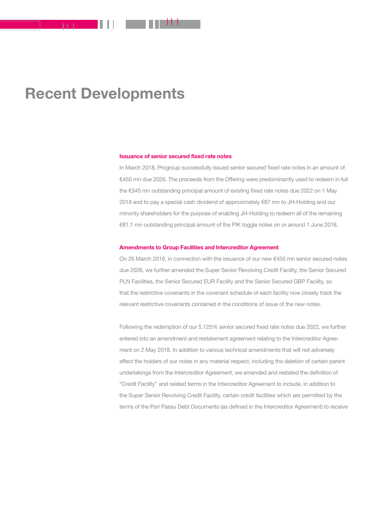## **Recent Developments**

### **Issuance of senior secured fixed rate notes**

In March 2018, Progroup successfully issued senior secured fixed rate notes in an amount of €450 mn due 2026. The proceeds from the Offering were predominantly used to redeem in full the €345 mn outstanding principal amount of existing fixed rate notes due 2022 on 1 May 2018 and to pay a special cash dividend of approximately €87 mn to JH-Holding and our minority shareholders for the purpose of enabling JH-Holding to redeem all of the remaining €81.1 mn outstanding principal amount of the PIK toggle notes on or around 1 June 2018.

#### **Amendments to Group Facilities and Intercreditor Agreement**

On 26 March 2018, in connection with the issuance of our new €450 mn senior secured notes due 2026, we further amended the Super Senior Revolving Credit Facility, the Senior Secured PLN Facilities, the Senior Secured EUR Facility and the Senior Secured GBP Facility, so that the restrictive covenants in the covenant schedule of each facility now closely track the relevant restrictive covenants contained in the conditions of issue of the new notes.

Following the redemption of our 5.125% senior secured fixed rate notes due 2022, we further entered into an amendment and restatement agreement relating to the Intercreditor Agreement on 2 May 2018. In addition to various technical amendments that will not adversely affect the holders of our notes in any material respect, including the deletion of certain parent undertakings from the Intercreditor Agreement, we amended and restated the definition of "Credit Facility" and related terms in the Intercreditor Agreement to include, in addition to the Super Senior Revolving Credit Facility, certain credit facilities which are permitted by the terms of the Pari Passu Debt Documents (as defined in the Intercreditor Agreement) to receive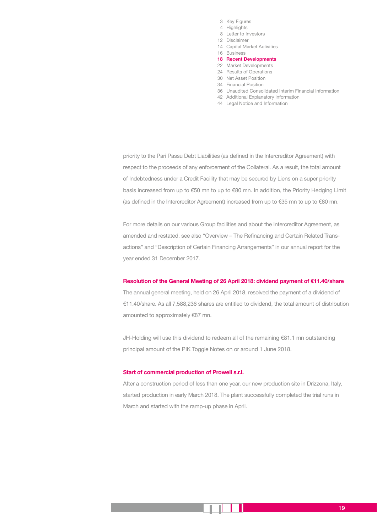- 3 Key Figures
- 4 Highlights
- 8 Letter to Investors
- 12 Disclaimer
- 14 Capital Market Activities 16 Business

### **18 Recent Developments**

- 22 Market Developments
- 24 Results of Operations
- 30 Net Asset Position
- 34 Financial Position
- 36 Unaudited Consolidated Interim Financial Information
- 42 Additional Explanatory Information
- 44 Legal Notice and Information

priority to the Pari Passu Debt Liabilities (as defined in the Intercreditor Agreement) with respect to the proceeds of any enforcement of the Collateral. As a result, the total amount of Indebtedness under a Credit Facility that may be secured by Liens on a super priority basis increased from up to €50 mn to up to €80 mn. In addition, the Priority Hedging Limit (as defined in the Intercreditor Agreement) increased from up to €35 mn to up to €80 mn.

For more details on our various Group facilities and about the Intercreditor Agreement, as amended and restated, see also "Overview – The Refinancing and Certain Related Transactions" and "Description of Certain Financing Arrangements" in our annual report for the year ended 31 December 2017.

### **Resolution of the General Meeting of 26 April 2018: dividend payment of €11.40/share**

The annual general meeting, held on 26 April 2018, resolved the payment of a dividend of €11.40/share. As all 7,588,236 shares are entitled to dividend, the total amount of distribution amounted to approximately €87 mn.

JH-Holding will use this dividend to redeem all of the remaining €81.1 mn outstanding principal amount of the PIK Toggle Notes on or around 1 June 2018.

### **Start of commercial production of Prowell s.r.l.**

After a construction period of less than one year, our new production site in Drizzona, Italy, started production in early March 2018. The plant successfully completed the trial runs in March and started with the ramp-up phase in April.

I.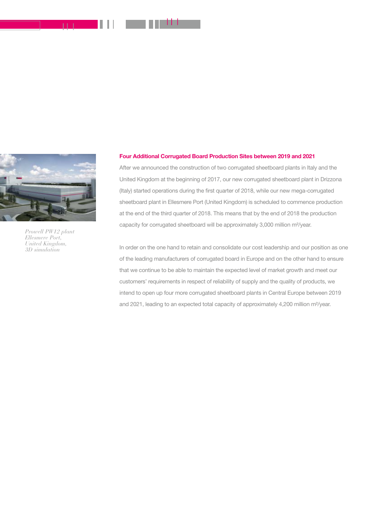

*Prowell PW12 plant Ellesmere Port, United Kingdom, 3D simulation*

### **Four Additional Corrugated Board Production Sites between 2019 and 2021**

After we announced the construction of two corrugated sheetboard plants in Italy and the United Kingdom at the beginning of 2017, our new corrugated sheetboard plant in Drizzona (Italy) started operations during the first quarter of 2018, while our new mega-corrugated sheetboard plant in Ellesmere Port (United Kingdom) is scheduled to commence production at the end of the third quarter of 2018. This means that by the end of 2018 the production capacity for corrugated sheetboard will be approximately 3,000 million m²/year.

In order on the one hand to retain and consolidate our cost leadership and our position as one of the leading manufacturers of corrugated board in Europe and on the other hand to ensure that we continue to be able to maintain the expected level of market growth and meet our customers' requirements in respect of reliability of supply and the quality of products, we intend to open up four more corrugated sheetboard plants in Central Europe between 2019 and 2021, leading to an expected total capacity of approximately 4,200 million m<sup>2</sup>/year.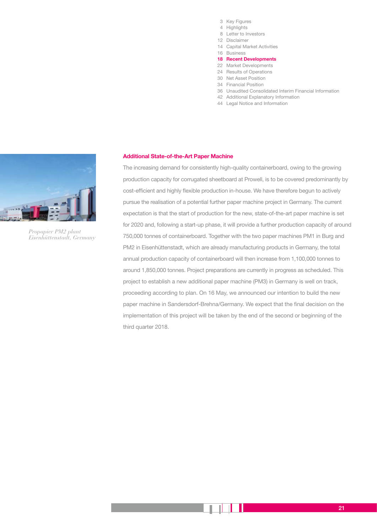- 3 Key Figures
- 4 Highlights
- 8 Letter to Investors
- 12 Disclaimer 14 Capital Market Activities
- 16 Business

### **18 Recent Developments**

- 22 Market Developments
- 24 Results of Operations
- 30 Net Asset Position
- 34 Financial Position
- 36 Unaudited Consolidated Interim Financial Information
- 42 Additional Explanatory Information
- 44 Legal Notice and Information

### **Additional State-of-the-Art Paper Machine**

The increasing demand for consistently high-quality containerboard, owing to the growing production capacity for corrugated sheetboard at Prowell, is to be covered predominantly by cost-efficient and highly flexible production in-house. We have therefore begun to actively pursue the realisation of a potential further paper machine project in Germany. The current expectation is that the start of production for the new, state-of-the-art paper machine is set for 2020 and, following a start-up phase, it will provide a further production capacity of around 750,000 tonnes of containerboard. Together with the two paper machines PM1 in Burg and PM2 in Eisenhüttenstadt, which are already manufacturing products in Germany, the total annual production capacity of containerboard will then increase from 1,100,000 tonnes to around 1,850,000 tonnes. Project preparations are currently in progress as scheduled. This project to establish a new additional paper machine (PM3) in Germany is well on track, proceeding according to plan. On 16 May, we announced our intention to build the new paper machine in Sandersdorf-Brehna/Germany. We expect that the final decision on the implementation of this project will be taken by the end of the second or beginning of the third quarter 2018.



*Propapier PM2 plant Eisenhüttenstadt, Germany*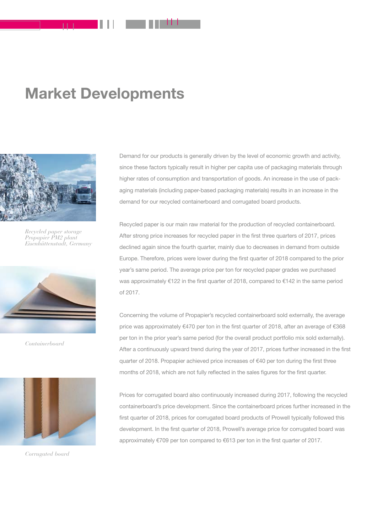## **Market Developments**



*Recycled paper storage Propapier PM2 plant Eisenhüttenstadt, Germany*



*Containerboard*



*Corrugated board*

Demand for our products is generally driven by the level of economic growth and activity, since these factors typically result in higher per capita use of packaging materials through higher rates of consumption and transportation of goods. An increase in the use of packaging materials (including paper-based packaging materials) results in an increase in the demand for our recycled containerboard and corrugated board products.

Recycled paper is our main raw material for the production of recycled containerboard. After strong price increases for recycled paper in the first three quarters of 2017, prices declined again since the fourth quarter, mainly due to decreases in demand from outside Europe. Therefore, prices were lower during the first quarter of 2018 compared to the prior year's same period. The average price per ton for recycled paper grades we purchased was approximately €122 in the first quarter of 2018, compared to €142 in the same period of 2017.

Concerning the volume of Propapier's recycled containerboard sold externally, the average price was approximately €470 per ton in the first quarter of 2018, after an average of €368 per ton in the prior year's same period (for the overall product portfolio mix sold externally). After a continuously upward trend during the year of 2017, prices further increased in the first quarter of 2018. Propapier achieved price increases of €40 per ton during the first three months of 2018, which are not fully reflected in the sales figures for the first quarter.

Prices for corrugated board also continuously increased during 2017, following the recycled containerboard's price development. Since the containerboard prices further increased in the first quarter of 2018, prices for corrugated board products of Prowell typically followed this development. In the first quarter of 2018, Prowell's average price for corrugated board was approximately €709 per ton compared to €613 per ton in the first quarter of 2017.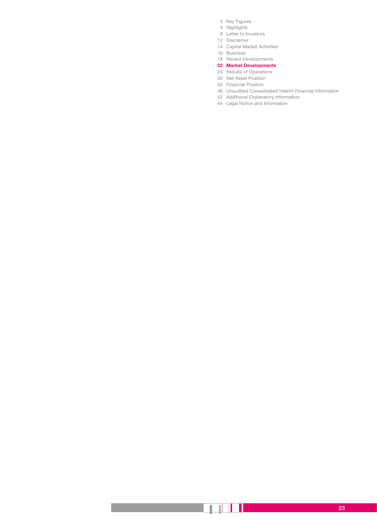- 3 Key Figures
- 4 Highlights
- 8 Letter to Investors
- 12 Disclaimer
- 14 Capital Market Activities
- 16 Business
- 18 Recent Developments **22 Market Developments**

## 24 Results of Operations

- 30 Net Asset Position
- 34 Financial Position

 $\mathbb{H}^1$ 

H

Ţ

- 36 Unaudited Consolidated Interim Financial Information
- 42 Additional Explanatory Information
- 44 Legal Notice and Information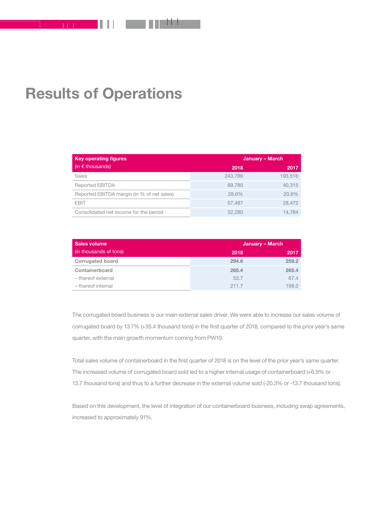## **Results of Operations**

| <b>Key operating figures</b>               | <b>January - March</b> |         |
|--------------------------------------------|------------------------|---------|
| (in $\epsilon$ thousands)                  | 2018                   | 2017    |
| Sales                                      | 243,786                | 193,516 |
| Reported EBITDA                            | 69,780                 | 40.315  |
| Reported EBITDA margin (in % of net sales) | 28.6%                  | 20.8%   |
| <b>EBIT</b>                                | 57.487                 | 28,472  |
| Consolidated net income for the period     | 32.280                 | 14.784  |

| <b>Sales volume</b>     | January - March |       |
|-------------------------|-----------------|-------|
| (in thousands of tons)  | 2018            | 2017  |
| <b>Corrugated board</b> | 294.6           | 259.2 |
| Containerboard          | 265.4           | 265.4 |
| - thereof external      | 53.7            | 67.4  |
| - thereof internal      | 2117            | 198.0 |

The corrugated board business is our main external sales driver. We were able to increase our sales volume of corrugated board by 13.7% (+35.4 thousand tons) in the first quarter of 2018, compared to the prior year's same quarter, with the main growth momentum coming from PW10.

Total sales volume of containerboard in the first quarter of 2018 is on the level of the prior year's same quarter. The increased volume of corrugated board sold led to a higher internal usage of containerboard (+6.9% or 13.7 thousand tons) and thus to a further decrease in the external volume sold (-20.3% or -13.7 thousand tons).

Based on this development, the level of integration of our containerboard business, including swap agreements, increased to approximately 91%.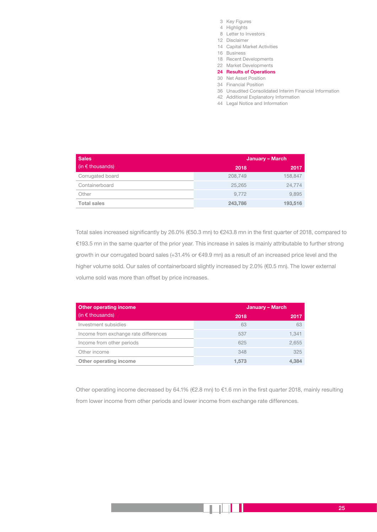- 3 Key Figures
- 4 Highlights
- 8 Letter to Investors
- 12 Disclaimer
- 14 Capital Market Activities
- 16 Business
- 18 Recent Developments
- 22 Market Developments
- **24 Results of Operations**
- 30 Net Asset Position
- 34 Financial Position
- 36 Unaudited Consolidated Interim Financial Information
- 42 Additional Explanatory Information
- 44 Legal Notice and Information

| <b>Sales</b>              | January - March |         |
|---------------------------|-----------------|---------|
| (in $\epsilon$ thousands) | 2018            | 2017    |
| Corrugated board          | 208,749         | 158,847 |
| Containerboard            | 25,265          | 24.774  |
| Other                     | 9.772           | 9.895   |
| <b>Total sales</b>        | 243,786         | 193,516 |

Total sales increased significantly by 26.0% (€50.3 mn) to €243.8 mn in the first quarter of 2018, compared to €193.5 mn in the same quarter of the prior year. This increase in sales is mainly attributable to further strong growth in our corrugated board sales (+31.4% or €49.9 mn) as a result of an increased price level and the higher volume sold. Our sales of containerboard slightly increased by 2.0% (€0.5 mn). The lower external volume sold was more than offset by price increases.

| Other operating income                |       | January - March |
|---------------------------------------|-------|-----------------|
| (in $\epsilon$ thousands)             | 2018  | 2017            |
| Investment subsidies                  | 63    | 63              |
| Income from exchange rate differences | 537   | 1,341           |
| Income from other periods             | 625   | 2.655           |
| Other income                          | 348   | 325             |
| Other operating income                | 1.573 | 4.384           |

Other operating income decreased by 64.1% (€2.8 mn) to €1.6 mn in the first quarter 2018, mainly resulting from lower income from other periods and lower income from exchange rate differences.

I.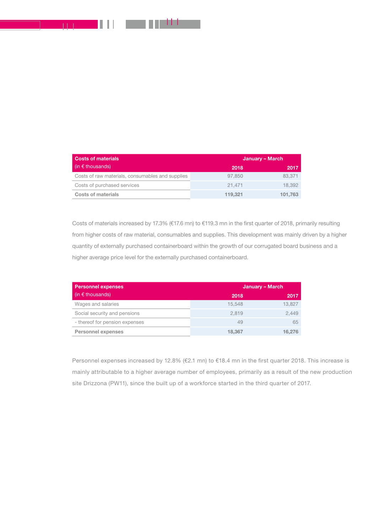| <b>Costs of materials</b>                        | January - March |         |
|--------------------------------------------------|-----------------|---------|
| $(in \in$ thousands)                             | 2018            | 2017    |
| Costs of raw materials, consumables and supplies | 97,850          | 83,371  |
| Costs of purchased services                      | 21.471          | 18.392  |
| <b>Costs of materials</b>                        | 119.321         | 101,763 |

Ш

Costs of materials increased by 17.3% (€17.6 mn) to €119.3 mn in the first quarter of 2018, primarily resulting from higher costs of raw material, consumables and supplies. This development was mainly driven by a higher quantity of externally purchased containerboard within the growth of our corrugated board business and a higher average price level for the externally purchased containerboard.

| <b>Personnel expenses</b>      | January - March |        |
|--------------------------------|-----------------|--------|
| (in $\epsilon$ thousands)      | 2018            | 2017   |
| Wages and salaries             | 15.548          | 13.827 |
| Social security and pensions   | 2.819           | 2.449  |
| - thereof for pension expenses | 49              | 65     |
| <b>Personnel expenses</b>      | 18,367          | 16,276 |

Personnel expenses increased by 12.8% (€2.1 mn) to €18.4 mn in the first quarter 2018. This increase is mainly attributable to a higher average number of employees, primarily as a result of the new production site Drizzona (PW11), since the built up of a workforce started in the third quarter of 2017.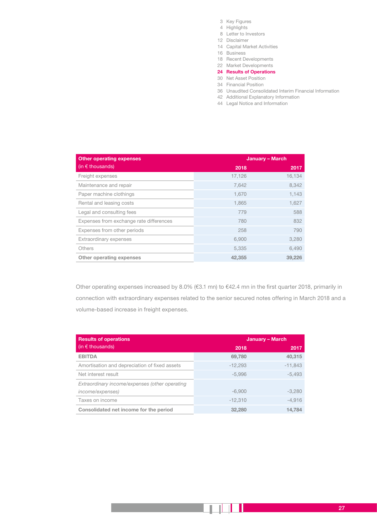- 3 Key Figures
- 4 Highlights
- 8 Letter to Investors
- 12 Disclaimer
- 14 Capital Market Activities
- 16 Business
- 18 Recent Developments
- 22 Market Developments
- **24 Results of Operations**
- 30 Net Asset Position
- 34 Financial Position
- 36 Unaudited Consolidated Interim Financial Information
- 42 Additional Explanatory Information
- 44 Legal Notice and Information

| <b>Other operating expenses</b>         | <b>January - March</b> |        |
|-----------------------------------------|------------------------|--------|
| (in $\epsilon$ thousands)               | 2018                   | 2017   |
| Freight expenses                        | 17,126                 | 16,134 |
| Maintenance and repair                  | 7,642                  | 8,342  |
| Paper machine clothings                 | 1,670                  | 1,143  |
| Rental and leasing costs                | 1.865                  | 1,627  |
| Legal and consulting fees               | 779                    | 588    |
| Expenses from exchange rate differences | 780                    | 832    |
| Expenses from other periods             | 258                    | 790    |
| Extraordinary expenses                  | 6,900                  | 3,280  |
| Others                                  | 5,335                  | 6,490  |
| Other operating expenses                | 42,355                 | 39,226 |
|                                         |                        |        |

Other operating expenses increased by 8.0% (€3.1 mn) to €42.4 mn in the first quarter 2018, primarily in connection with extraordinary expenses related to the senior secured notes offering in March 2018 and a volume-based increase in freight expenses.

> I Ш  $\mathbf{H}$ Ш

| <b>Results of operations</b>                   | <b>January - March</b> |           |  |
|------------------------------------------------|------------------------|-----------|--|
| (in $\epsilon$ thousands)                      | 2018                   | 2017      |  |
| <b>EBITDA</b>                                  | 69,780                 | 40,315    |  |
| Amortisation and depreciation of fixed assets  | $-12,293$              | $-11,843$ |  |
| Net interest result                            | $-5.996$               | $-5,493$  |  |
| Extraordinary income/expenses (other operating |                        |           |  |
| <i>income/expenses)</i>                        | $-6,900$               | $-3,280$  |  |
| Taxes on income                                | $-12,310$              | $-4.916$  |  |
| Consolidated net income for the period         | 32,280                 | 14.784    |  |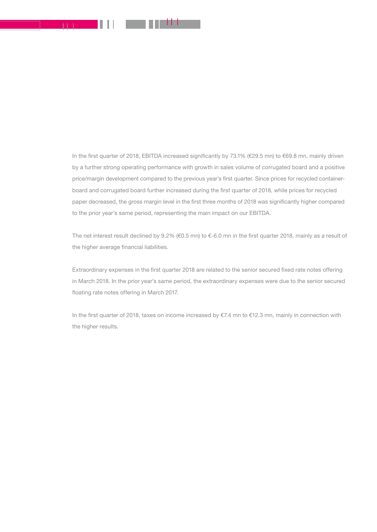In the first quarter of 2018, EBITDA increased significantly by 73.1% (€29.5 mn) to €69.8 mn, mainly driven by a further strong operating performance with growth in sales volume of corrugated board and a positive price/margin development compared to the previous year's first quarter. Since prices for recycled containerboard and corrugated board further increased during the first quarter of 2018, while prices for recycled paper decreased, the gross margin level in the first three months of 2018 was significantly higher compared to the prior year's same period, representing the main impact on our EBITDA.

The net interest result declined by 9.2% (€0.5 mn) to €-6.0 mn in the first quarter 2018, mainly as a result of the higher average financial liabilities.

Extraordinary expenses in the first quarter 2018 are related to the senior secured fixed rate notes offering in March 2018. In the prior year's same period, the extraordinary expenses were due to the senior secured floating rate notes offering in March 2017.

In the first quarter of 2018, taxes on income increased by €7.4 mn to €12.3 mn, mainly in connection with the higher results.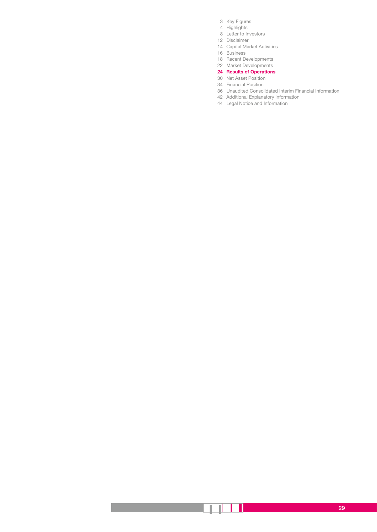- 3 Key Figures
- 4 Highlights
- 8 Letter to Investors
- 12 Disclaimer 14 Capital Market Activities
- 16 Business
- 
- 18 Recent Developments 22 Market Developments
- **24 Results of Operations**
- 30 Net Asset Position
- 34 Financial Position

 $\mathbb{H}^1$ 

H

Ţ

- 36 Unaudited Consolidated Interim Financial Information
- 42 Additional Explanatory Information
- 44 Legal Notice and Information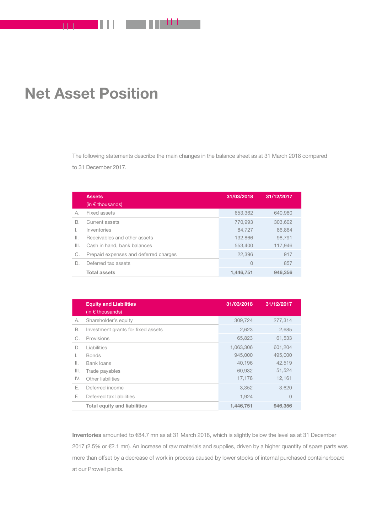## **Net Asset Position**

The following statements describe the main changes in the balance sheet as at 31 March 2018 compared to 31 December 2017.

|      | <b>Assets</b>                         | 31/03/2018 | 31/12/2017 |
|------|---------------------------------------|------------|------------|
|      | (in $\epsilon$ thousands)             |            |            |
| А.   | Fixed assets                          | 653,362    | 640,980    |
| B.   | Current assets                        | 770.993    | 303,602    |
| L.   | Inventories                           | 84.727     | 86.864     |
| Ш.   | Receivables and other assets          | 132,866    | 98.791     |
| III. | Cash in hand, bank balances           | 553,400    | 117,946    |
| С.   | Prepaid expenses and deferred charges | 22,396     | 917        |
| D.   | Deferred tax assets                   | $\theta$   | 857        |
|      | <b>Total assets</b>                   | 1.446.751  | 946,356    |

|               | <b>Equity and Liabilities</b><br>(in $\epsilon$ thousands) | 31/03/2018 | 31/12/2017 |
|---------------|------------------------------------------------------------|------------|------------|
| А.            | Shareholder's equity                                       | 309.724    | 277,314    |
| В.            | Investment grants for fixed assets                         | 2,623      | 2,685      |
| C.            | Provisions                                                 | 65,823     | 61,533     |
| D.            | Liabilities                                                | 1,063,306  | 601,204    |
| L.            | <b>Bonds</b>                                               | 945,000    | 495,000    |
| $\mathbb{H}.$ | Bank loans                                                 | 40.196     | 42,519     |
| III.          | Trade payables                                             | 60,932     | 51,524     |
| IV.           | Other liabilities                                          | 17,178     | 12,161     |
| Е.            | Deferred income                                            | 3.352      | 3.620      |
| E.            | Deferred tax liabilities                                   | 1,924      | $\Omega$   |
|               | <b>Total equity and liabilities</b>                        | 1,446,751  | 946,356    |

**Inventories** amounted to €84.7 mn as at 31 March 2018, which is slightly below the level as at 31 December 2017 (2.5% or €2.1 mn). An increase of raw materials and supplies, driven by a higher quantity of spare parts was more than offset by a decrease of work in process caused by lower stocks of internal purchased containerboard at our Prowell plants.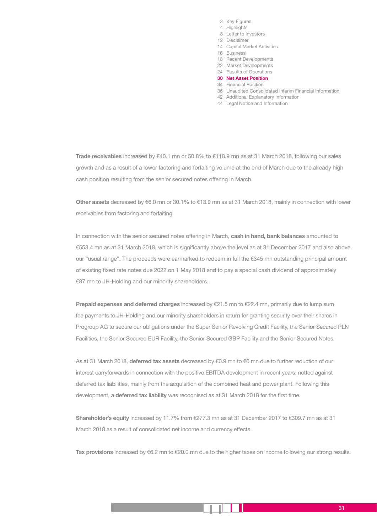- 3 Key Figures 4 Highlights 8 Letter to Investors 12 Disclaimer 14 Capital Market Activities 16 Business 18 Recent Developments 22 Market Developments 24 Results of Operations **30 Net Asset Position** 34 Financial Position 36 Unaudited Consolidated Interim Financial Information 42 Additional Explanatory Information
- 44 Legal Notice and Information

**Trade receivables** increased by €40.1 mn or 50.8% to €118.9 mn as at 31 March 2018, following our sales growth and as a result of a lower factoring and forfaiting volume at the end of March due to the already high cash position resulting from the senior secured notes offering in March.

**Other assets** decreased by €6.0 mn or 30.1% to €13.9 mn as at 31 March 2018, mainly in connection with lower receivables from factoring and forfaiting.

In connection with the senior secured notes offering in March, **cash in hand, bank balances** amounted to €553.4 mn as at 31 March 2018, which is significantly above the level as at 31 December 2017 and also above our "usual range". The proceeds were earmarked to redeem in full the €345 mn outstanding principal amount of existing fixed rate notes due 2022 on 1 May 2018 and to pay a special cash dividend of approximately €87 mn to JH-Holding and our minority shareholders.

**Prepaid expenses and deferred charges** increased by €21.5 mn to €22.4 mn, primarily due to lump sum fee payments to JH-Holding and our minority shareholders in return for granting security over their shares in Progroup AG to secure our obligations under the Super Senior Revolving Credit Facility, the Senior Secured PLN Facilities, the Senior Secured EUR Facility, the Senior Secured GBP Facility and the Senior Secured Notes.

As at 31 March 2018, **deferred tax assets** decreased by €0.9 mn to €0 mn due to further reduction of our interest carryforwards in connection with the positive EBITDA development in recent years, netted against deferred tax liabilities, mainly from the acquisition of the combined heat and power plant. Following this development, a **deferred tax liability** was recognised as at 31 March 2018 for the first time.

**Shareholder's equity** increased by 11.7% from €277.3 mn as at 31 December 2017 to €309.7 mn as at 31 March 2018 as a result of consolidated net income and currency effects.

**Tax provisions** increased by €6.2 mn to €20.0 mn due to the higher taxes on income following our strong results.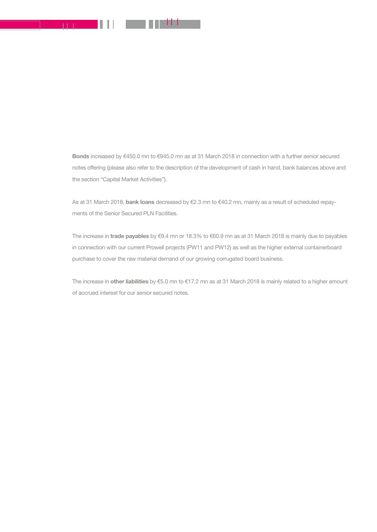**Bonds** increased by €450.0 mn to €945.0 mn as at 31 March 2018 in connection with a further senior secured notes offering (please also refer to the description of the development of cash in hand, bank balances above and the section "Capital Market Activities").

**The Contract** 

Ш

As at 31 March 2018, **bank loans** decreased by €2.3 mn to €40.2 mn, mainly as a result of scheduled repayments of the Senior Secured PLN Facilities.

The increase in **trade payables** by €9.4 mn or 18.3% to €60.9 mn as at 31 March 2018 is mainly due to payables in connection with our current Prowell projects (PW11 and PW12) as well as the higher external containerboard purchase to cover the raw material demand of our growing corrugated board business.

The increase in **other liabilities** by €5.0 mn to €17.2 mn as at 31 March 2018 is mainly related to a higher amount of accrued interest for our senior secured notes.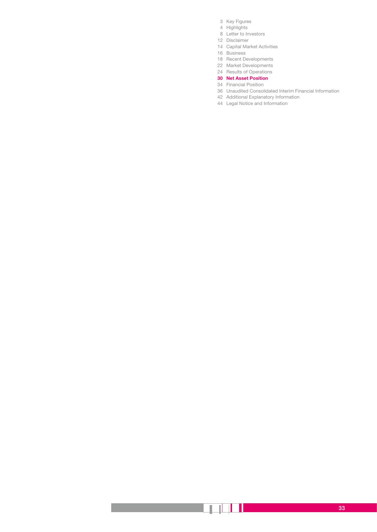- 3 Key Figures
- 4 Highlights
- 8 Letter to Investors
- 12 Disclaimer
- 14 Capital Market Activities
- 16 Business

 $\mathbb{H}^1$ 

H

Ţ

- 18 Recent Developments
- 22 Market Developments
- 24 Results of Operations
- **30 Net Asset Position** 34 Financial Position
- 36 Unaudited Consolidated Interim Financial Information
- 42 Additional Explanatory Information
- 44 Legal Notice and Information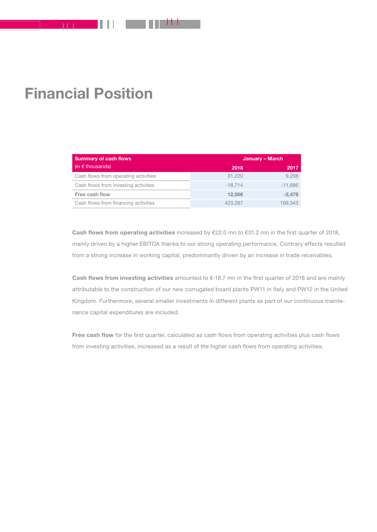## **Financial Position**

| <b>Summary of cash flows</b>         |           | January - March |
|--------------------------------------|-----------|-----------------|
| (in $\epsilon$ thousands)            | 2018      | 2017            |
| Cash flows from operating activities | 31.220    | 9.208           |
| Cash flows from investing activities | $-18.714$ | $-11.686$       |
| Free cash flow                       | 12,506    | $-2.478$        |
| Cash flows from financing activities | 423.267   | 169.343         |

**Cash flows from operating activities** increased by €22.0 mn to €31.2 mn in the first quarter of 2018, mainly driven by a higher EBITDA thanks to our strong operating performance. Contrary effects resulted from a strong increase in working capital, predominantly driven by an increase in trade receivables.

**Cash flows from investing activities** amounted to €-18.7 mn in the first quarter of 2018 and are mainly attributable to the construction of our new corrugated board plants PW11 in Italy and PW12 in the United Kingdom. Furthermore, several smaller investments in different plants as part of our continuous maintenance capital expenditures are included.

**Free cash flow** for the first quarter, calculated as cash flows from operating activities plus cash flows from investing activities, increased as a result of the higher cash flows from operating activities.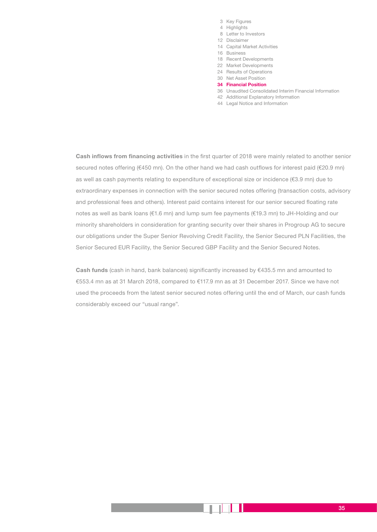- 3 Key Figures
- 4 Highlights
- 8 Letter to Investors
- 12 Disclaimer
- 14 Capital Market Activities
- 16 Business
- 18 Recent Developments
- 22 Market Developments
- 24 Results of Operations
- 30 Net Asset Position
- **34 Financial Position**
- 36 Unaudited Consolidated Interim Financial Information
- 42 Additional Explanatory Information
- 44 Legal Notice and Information

**Cash inflows from financing activities** in the first quarter of 2018 were mainly related to another senior secured notes offering (€450 mn). On the other hand we had cash outflows for interest paid (€20.9 mn) as well as cash payments relating to expenditure of exceptional size or incidence (€3.9 mn) due to extraordinary expenses in connection with the senior secured notes offering (transaction costs, advisory and professional fees and others). Interest paid contains interest for our senior secured floating rate notes as well as bank loans (€1.6 mn) and lump sum fee payments (€19.3 mn) to JH-Holding and our minority shareholders in consideration for granting security over their shares in Progroup AG to secure our obligations under the Super Senior Revolving Credit Facility, the Senior Secured PLN Facilities, the Senior Secured EUR Facility, the Senior Secured GBP Facility and the Senior Secured Notes.

**Cash funds** (cash in hand, bank balances) significantly increased by €435.5 mn and amounted to €553.4 mn as at 31 March 2018, compared to €117.9 mn as at 31 December 2017. Since we have not used the proceeds from the latest senior secured notes offering until the end of March, our cash funds considerably exceed our "usual range".

> I Ш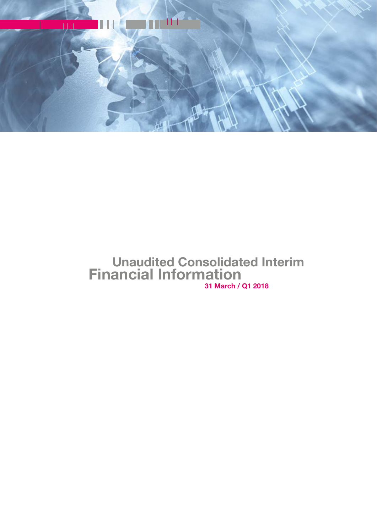

## **Unaudited Consolidated Interim 31 March / Q1 2018 Financial Information**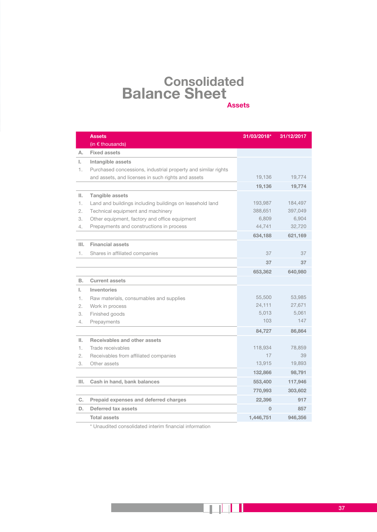## **Consolidated Balance Sheet**

### **Assets**

<u>n martin a</u>

Ţ

|           | <b>Assets</b><br>(in $\epsilon$ thousands)                    | 31/03/2018* | 31/12/2017 |
|-----------|---------------------------------------------------------------|-------------|------------|
| А.        | <b>Fixed assets</b>                                           |             |            |
| L.        | Intangible assets                                             |             |            |
| 1.        | Purchased concessions, industrial property and similar rights |             |            |
|           | and assets, and licenses in such rights and assets            | 19,136      | 19,774     |
|           |                                                               | 19,136      | 19,774     |
| Ш.        | <b>Tangible assets</b>                                        |             |            |
| 1.        | Land and buildings including buildings on leasehold land      | 193,987     | 184,497    |
| 2.        | Technical equipment and machinery                             | 388,651     | 397,049    |
| 3.        | Other equipment, factory and office equipment                 | 6,809       | 6,904      |
| 4.        | Prepayments and constructions in process                      | 44,741      | 32,720     |
|           |                                                               | 634,188     | 621,169    |
| III.      | <b>Financial assets</b>                                       |             |            |
| 1.        | Shares in affiliated companies                                | 37          | 37         |
|           |                                                               | 37          | 37         |
|           |                                                               | 653,362     | 640,980    |
| <b>B.</b> | <b>Current assets</b>                                         |             |            |
| Ι.        | Inventories                                                   |             |            |
| 1.        | Raw materials, consumables and supplies                       | 55,500      | 53,985     |
| 2.        | Work in process                                               | 24,111      | 27,671     |
| 3.        | Finished goods                                                | 5,013       | 5,061      |
| 4.        | Prepayments                                                   | 103         | 147        |
|           |                                                               | 84,727      | 86,864     |
| Ш.        | Receivables and other assets                                  |             |            |
| 1.        | Trade receivables                                             | 118,934     | 78,859     |
| 2.        | Receivables from affiliated companies                         | 17          | 39         |
| 3.        | Other assets                                                  | 13,915      | 19,893     |
|           |                                                               | 132,866     | 98,791     |
| Ш.        | Cash in hand, bank balances                                   | 553,400     | 117,946    |
|           |                                                               | 770,993     | 303,602    |
| C.        | Prepaid expenses and deferred charges                         | 22,396      | 917        |
| D.        | Deferred tax assets                                           | $\Omega$    | 857        |
|           | <b>Total assets</b>                                           | 1,446,751   | 946,356    |

\* Unaudited consolidated interim financial information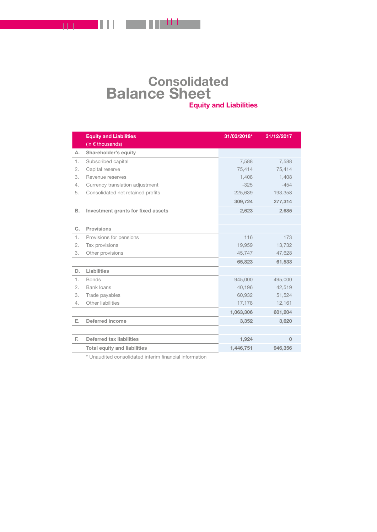## **Consolidated Balance Sheet**

-11-1

**TELEVISION** 

## **Equity and Liabilities**

|           | <b>Equity and Liabilities</b>       | 31/03/2018* | 31/12/2017     |
|-----------|-------------------------------------|-------------|----------------|
|           | (in $\epsilon$ thousands)           |             |                |
| А.        | Shareholder's equity                |             |                |
| 1.        | Subscribed capital                  | 7,588       | 7,588          |
| 2.        | Capital reserve                     | 75,414      | 75,414         |
| 3.        | Revenue reserves                    | 1,408       | 1,408          |
| 4.        | Currency translation adjustment     | $-325$      | $-454$         |
| 5.        | Consolidated net retained profits   | 225,639     | 193,358        |
|           |                                     | 309.724     | 277,314        |
| <b>B.</b> | Investment grants for fixed assets  | 2,623       | 2,685          |
|           |                                     |             |                |
| C.        | Provisions                          |             |                |
| 1.        | Provisions for pensions             | 116         | 173            |
| 2.        | Tax provisions                      | 19,959      | 13,732         |
| 3.        | Other provisions                    | 45,747      | 47,628         |
|           |                                     | 65,823      | 61,533         |
| D.        | Liabilities                         |             |                |
| 1.        | <b>Bonds</b>                        | 945,000     | 495,000        |
| 2.        | Bank loans                          | 40,196      | 42,519         |
| 3.        | Trade payables                      | 60,932      | 51,524         |
| 4.        | Other liabilities                   | 17,178      | 12,161         |
|           |                                     | 1,063,306   | 601,204        |
| Е.        | Deferred income                     | 3,352       | 3,620          |
|           |                                     |             |                |
| Е.        | Deferred tax liabilities            | 1,924       | $\overline{0}$ |
|           | <b>Total equity and liabilities</b> | 1,446,751   | 946,356        |

\* Unaudited consolidated interim financial information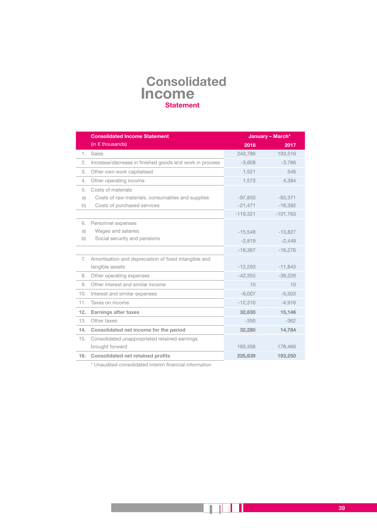## **Consolidated Statement Income**

|     | <b>Consolidated Income Statement</b>                    |            | January - March* |  |  |
|-----|---------------------------------------------------------|------------|------------------|--|--|
|     | (in $\epsilon$ thousands)                               | 2018       | 2017             |  |  |
| 1.  | Sales                                                   | 243,786    | 193,516          |  |  |
| 2.  | Increase/decrease in finished goods and work in process | $-3,608$   | $-3,786$         |  |  |
| З.  | Other own work capitalised                              | 1,521      | 548              |  |  |
| 4.  | Other operating income                                  | 1,573      | 4,384            |  |  |
| 5.  | Costs of materials                                      |            |                  |  |  |
| a)  | Costs of raw materials, consumables and supplies        | $-97,850$  | $-83,371$        |  |  |
| b)  | Costs of purchased services                             | $-21,471$  | $-18,392$        |  |  |
|     |                                                         | $-119,321$ | $-101,763$       |  |  |
| 6.  | Personnel expenses                                      |            |                  |  |  |
| a)  | Wages and salaries                                      | $-15,548$  | $-13,827$        |  |  |
| b)  | Social security and pensions                            | $-2,819$   | $-2,449$         |  |  |
|     |                                                         | $-18,367$  | $-16,276$        |  |  |
| 7.  | Amortisation and depreciation of fixed intangible and   |            |                  |  |  |
|     | tangible assets                                         | $-12,293$  | $-11,843$        |  |  |
| 8.  | Other operating expenses                                | $-42,355$  | $-39,226$        |  |  |
| 9.  | Other interest and similar income                       | 10         | 10               |  |  |
| 10. | Interest and similar expenses                           | $-6,007$   | $-5,503$         |  |  |
| 11. | Taxes on income                                         | $-12,310$  | $-4,916$         |  |  |
| 12. | <b>Earnings after taxes</b>                             | 32,630     | 15,146           |  |  |
| 13. | Other taxes                                             | $-350$     | $-362$           |  |  |
| 14. | Consolidated net income for the period                  | 32,280     | 14,784           |  |  |
| 15. | Consolidated unappropriated retained earnings           |            |                  |  |  |
|     | brought forward                                         | 193,358    | 178,466          |  |  |
| 16. | <b>Consolidated net retained profits</b>                | 225,639    | 193,250          |  |  |
|     |                                                         |            |                  |  |  |

\* Unaudited consolidated interim financial information

H

Ī  $\mathbb{I}$  $\mathbb{I}$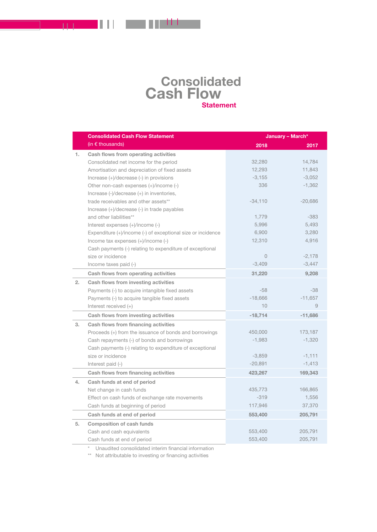## **Consolidated Statement Cash Flow**

Ш

П

٠

|    | <b>Consolidated Cash Flow Statement</b>                          | January - March* |           |
|----|------------------------------------------------------------------|------------------|-----------|
|    | (in $\epsilon$ thousands)                                        | 2018             | 2017      |
| 1. | Cash flows from operating activities                             |                  |           |
|    | Consolidated net income for the period                           | 32,280           | 14,784    |
|    | Amortisation and depreciation of fixed assets                    | 12,293           | 11,843    |
|    | Increase (+)/decrease (-) in provisions                          | $-3,155$         | $-3,052$  |
|    | Other non-cash expenses (+)/income (-)                           | 336              | $-1,362$  |
|    | Increase (-)/decrease (+) in inventories,                        |                  |           |
|    | trade receivables and other assets**                             | $-34,110$        | $-20,686$ |
|    | Increase (+)/decrease (-) in trade payables                      |                  |           |
|    | and other liabilities**                                          | 1,779            | $-383$    |
|    | Interest expenses (+)/income (-)                                 | 5,996            | 5,493     |
|    | Expenditure $(+)/$ income $(-)$ of exceptional size or incidence | 6,900            | 3,280     |
|    | Income tax expenses (+)/income (-)                               | 12,310           | 4,916     |
|    | Cash payments (-) relating to expenditure of exceptional         |                  |           |
|    | size or incidence                                                | $\overline{0}$   | $-2,178$  |
|    | Income taxes paid (-)                                            | $-3,409$         | $-3,447$  |
|    | Cash flows from operating activities                             | 31,220           | 9,208     |
| 2. | Cash flows from investing activities                             |                  |           |
|    | Payments (-) to acquire intangible fixed assets                  | $-58$            | $-38$     |
|    | Payments (-) to acquire tangible fixed assets                    | $-18,666$        | $-11,657$ |
|    | Interest received (+)                                            | 10               | 9         |
|    | Cash flows from investing activities                             | $-18,714$        | $-11,686$ |
| 3. | Cash flows from financing activities                             |                  |           |
|    | Proceeds (+) from the issuance of bonds and borrowings           | 450,000          | 173,187   |
|    | Cash repayments (-) of bonds and borrowings                      | $-1,983$         | $-1,320$  |
|    | Cash payments (-) relating to expenditure of exceptional         |                  |           |
|    | size or incidence                                                | $-3,859$         | $-1,111$  |
|    | Interest paid (-)                                                | $-20,891$        | $-1,413$  |
|    | Cash flows from financing activities                             | 423,267          | 169,343   |
| 4. | Cash funds at end of period                                      |                  |           |
|    | Net change in cash funds                                         | 435,773          | 166,865   |
|    | Effect on cash funds of exchange rate movements                  | $-319$           | 1,556     |
|    | Cash funds at beginning of period                                | 117,946          | 37,370    |
|    | Cash funds at end of period                                      | 553,400          | 205,791   |
| 5. | <b>Composition of cash funds</b>                                 |                  |           |
|    | Cash and cash equivalents                                        | 553,400          | 205,791   |
|    | Cash funds at end of period                                      | 553,400          | 205,791   |

\* Unaudited consolidated interim financial information

\*\* Not attributable to investing or financing activities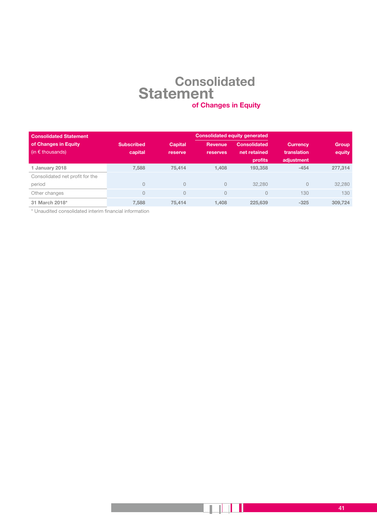## **Consolidated Statement**

## **of Changes in Equity**

| <b>Consolidated Statement</b>   |                   |                |                | <b>Consolidated equity generated</b> |                 |         |
|---------------------------------|-------------------|----------------|----------------|--------------------------------------|-----------------|---------|
| of Changes in Equity            | <b>Subscribed</b> | <b>Capital</b> | <b>Revenue</b> | <b>Consolidated</b>                  | <b>Currency</b> | Group   |
| (in $\epsilon$ thousands)       | capital           | reserve        | reserves       | net retained                         | translation     | equity  |
|                                 |                   |                |                | profits                              | adjustment      |         |
| 1 January 2018                  | 7.588             | 75.414         | 1.408          | 193,358                              | $-454$          | 277,314 |
| Consolidated net profit for the |                   |                |                |                                      |                 |         |
| period                          | $\Omega$          | $\circ$        | $\Omega$       | 32,280                               | $\Omega$        | 32,280  |
| Other changes                   | $\Omega$          | 0              | $\Omega$       | $\Omega$                             | 130             | 130     |
| 31 March 2018*                  | 7.588             | 75.414         | 1.408          | 225.639                              | $-325$          | 309,724 |

\* Unaudited consolidated interim financial information

**The Company** 

T  $\overline{\mathbb{I}}$  $\mathbb T$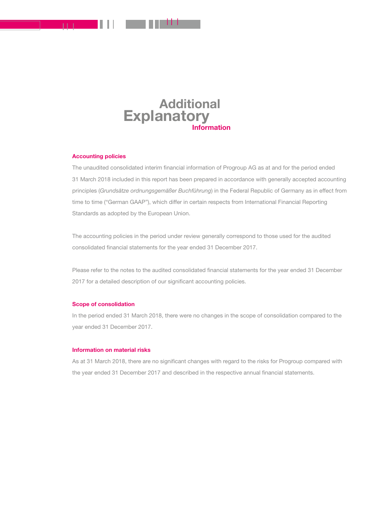

### **Accounting policies**

The unaudited consolidated interim financial information of Progroup AG as at and for the period ended 31 March 2018 included in this report has been prepared in accordance with generally accepted accounting principles (*Grundsätze ordnungsgemäßer Buchführung*) in the Federal Republic of Germany as in effect from time to time ("German GAAP"), which differ in certain respects from International Financial Reporting Standards as adopted by the European Union.

The accounting policies in the period under review generally correspond to those used for the audited consolidated financial statements for the year ended 31 December 2017.

Please refer to the notes to the audited consolidated financial statements for the year ended 31 December 2017 for a detailed description of our significant accounting policies.

### **Scope of consolidation**

In the period ended 31 March 2018, there were no changes in the scope of consolidation compared to the year ended 31 December 2017.

### **Information on material risks**

As at 31 March 2018, there are no significant changes with regard to the risks for Progroup compared with the year ended 31 December 2017 and described in the respective annual financial statements.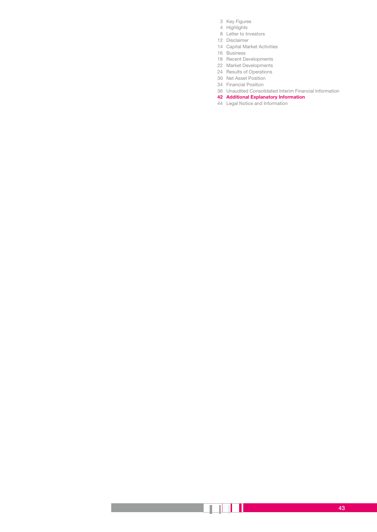- 3 Key Figures
- 4 Highlights
- 8 Letter to Investors
- 12 Disclaimer
- 14 Capital Market Activities
- 16 Business

 $\mathbb{H}^1$ 

H

Ţ

- 18 Recent Developments
- 22 Market Developments
- 24 Results of Operations
- 30 Net Asset Position
- 34 Financial Position
- 36 Unaudited Consolidated Interim Financial Information
- **42 Additional Explanatory Information**
- 44 Legal Notice and Information